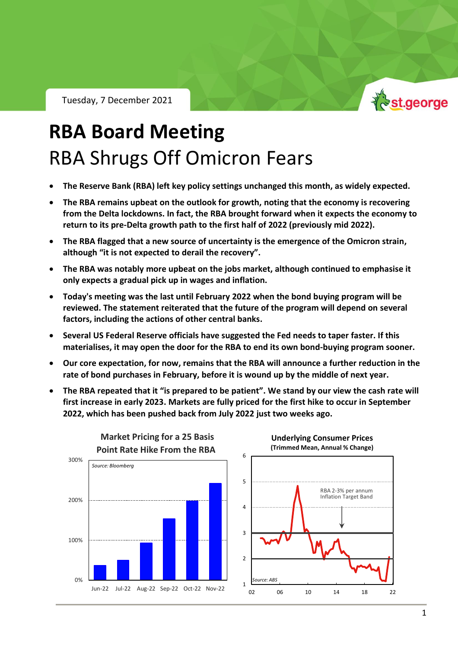Tuesday, 7 December 2021



# **RBA Board Meeting** RBA Shrugs Off Omicron Fears

- **The Reserve Bank (RBA) left key policy settings unchanged this month, as widely expected.**
- **The RBA remains upbeat on the outlook for growth, noting that the economy is recovering from the Delta lockdowns. In fact, the RBA brought forward when it expects the economy to return to its pre-Delta growth path to the first half of 2022 (previously mid 2022).**
- **The RBA flagged that a new source of uncertainty is the emergence of the Omicron strain, although "it is not expected to derail the recovery".**
- **The RBA was notably more upbeat on the jobs market, although continued to emphasise it only expects a gradual pick up in wages and inflation.**
- **Today's meeting was the last until February 2022 when the bond buying program will be reviewed. The statement reiterated that the future of the program will depend on several factors, including the actions of other central banks.**
- **Several US Federal Reserve officials have suggested the Fed needs to taper faster. If this materialises, it may open the door for the RBA to end its own bond-buying program sooner.**
- **Our core expectation, for now, remains that the RBA will announce a further reduction in the rate of bond purchases in February, before it is wound up by the middle of next year.**
- **The RBA repeated that it "is prepared to be patient". We stand by our view the cash rate will first increase in early 2023. Markets are fully priced for the first hike to occur in September 2022, which has been pushed back from July 2022 just two weeks ago.**

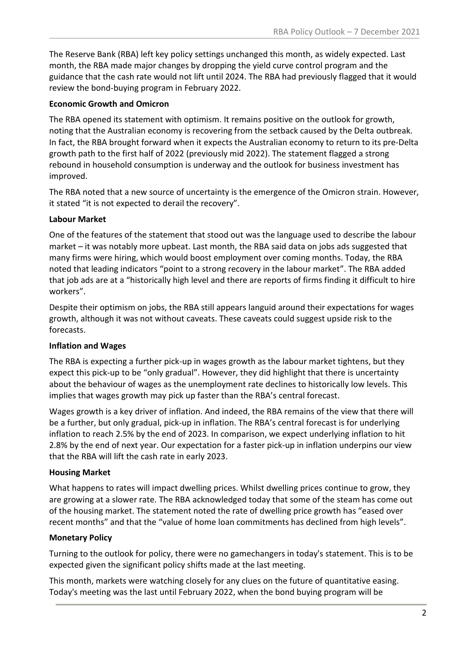The Reserve Bank (RBA) left key policy settings unchanged this month, as widely expected. Last month, the RBA made major changes by dropping the yield curve control program and the guidance that the cash rate would not lift until 2024. The RBA had previously flagged that it would review the bond-buying program in February 2022.

#### **Economic Growth and Omicron**

The RBA opened its statement with optimism. It remains positive on the outlook for growth, noting that the Australian economy is recovering from the setback caused by the Delta outbreak. In fact, the RBA brought forward when it expects the Australian economy to return to its pre-Delta growth path to the first half of 2022 (previously mid 2022). The statement flagged a strong rebound in household consumption is underway and the outlook for business investment has improved.

The RBA noted that a new source of uncertainty is the emergence of the Omicron strain. However, it stated "it is not expected to derail the recovery".

#### **Labour Market**

One of the features of the statement that stood out was the language used to describe the labour market – it was notably more upbeat. Last month, the RBA said data on jobs ads suggested that many firms were hiring, which would boost employment over coming months. Today, the RBA noted that leading indicators "point to a strong recovery in the labour market". The RBA added that job ads are at a "historically high level and there are reports of firms finding it difficult to hire workers".

Despite their optimism on jobs, the RBA still appears languid around their expectations for wages growth, although it was not without caveats. These caveats could suggest upside risk to the forecasts.

#### **Inflation and Wages**

The RBA is expecting a further pick-up in wages growth as the labour market tightens, but they expect this pick-up to be "only gradual". However, they did highlight that there is uncertainty about the behaviour of wages as the unemployment rate declines to historically low levels. This implies that wages growth may pick up faster than the RBA's central forecast.

Wages growth is a key driver of inflation. And indeed, the RBA remains of the view that there will be a further, but only gradual, pick-up in inflation. The RBA's central forecast is for underlying inflation to reach 2.5% by the end of 2023. In comparison, we expect underlying inflation to hit 2.8% by the end of next year. Our expectation for a faster pick-up in inflation underpins our view that the RBA will lift the cash rate in early 2023.

#### **Housing Market**

What happens to rates will impact dwelling prices. Whilst dwelling prices continue to grow, they are growing at a slower rate. The RBA acknowledged today that some of the steam has come out of the housing market. The statement noted the rate of dwelling price growth has "eased over recent months" and that the "value of home loan commitments has declined from high levels".

#### **Monetary Policy**

Turning to the outlook for policy, there were no gamechangers in today's statement. This is to be expected given the significant policy shifts made at the last meeting.

This month, markets were watching closely for any clues on the future of quantitative easing. Today's meeting was the last until February 2022, when the bond buying program will be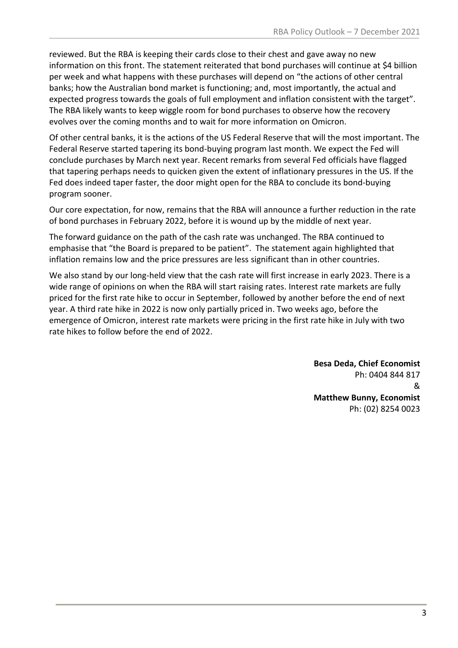reviewed. But the RBA is keeping their cards close to their chest and gave away no new information on this front. The statement reiterated that bond purchases will continue at \$4 billion per week and what happens with these purchases will depend on "the actions of other central banks; how the Australian bond market is functioning; and, most importantly, the actual and expected progress towards the goals of full employment and inflation consistent with the target". The RBA likely wants to keep wiggle room for bond purchases to observe how the recovery evolves over the coming months and to wait for more information on Omicron.

Of other central banks, it is the actions of the US Federal Reserve that will the most important. The Federal Reserve started tapering its bond-buying program last month. We expect the Fed will conclude purchases by March next year. Recent remarks from several Fed officials have flagged that tapering perhaps needs to quicken given the extent of inflationary pressures in the US. If the Fed does indeed taper faster, the door might open for the RBA to conclude its bond-buying program sooner.

Our core expectation, for now, remains that the RBA will announce a further reduction in the rate of bond purchases in February 2022, before it is wound up by the middle of next year.

The forward guidance on the path of the cash rate was unchanged. The RBA continued to emphasise that "the Board is prepared to be patient". The statement again highlighted that inflation remains low and the price pressures are less significant than in other countries.

We also stand by our long-held view that the cash rate will first increase in early 2023. There is a wide range of opinions on when the RBA will start raising rates. Interest rate markets are fully priced for the first rate hike to occur in September, followed by another before the end of next year. A third rate hike in 2022 is now only partially priced in. Two weeks ago, before the emergence of Omicron, interest rate markets were pricing in the first rate hike in July with two rate hikes to follow before the end of 2022.

> **Besa Deda, Chief Economist** Ph: 0404 844 817 & **Matthew Bunny, Economist** Ph: (02) 8254 0023